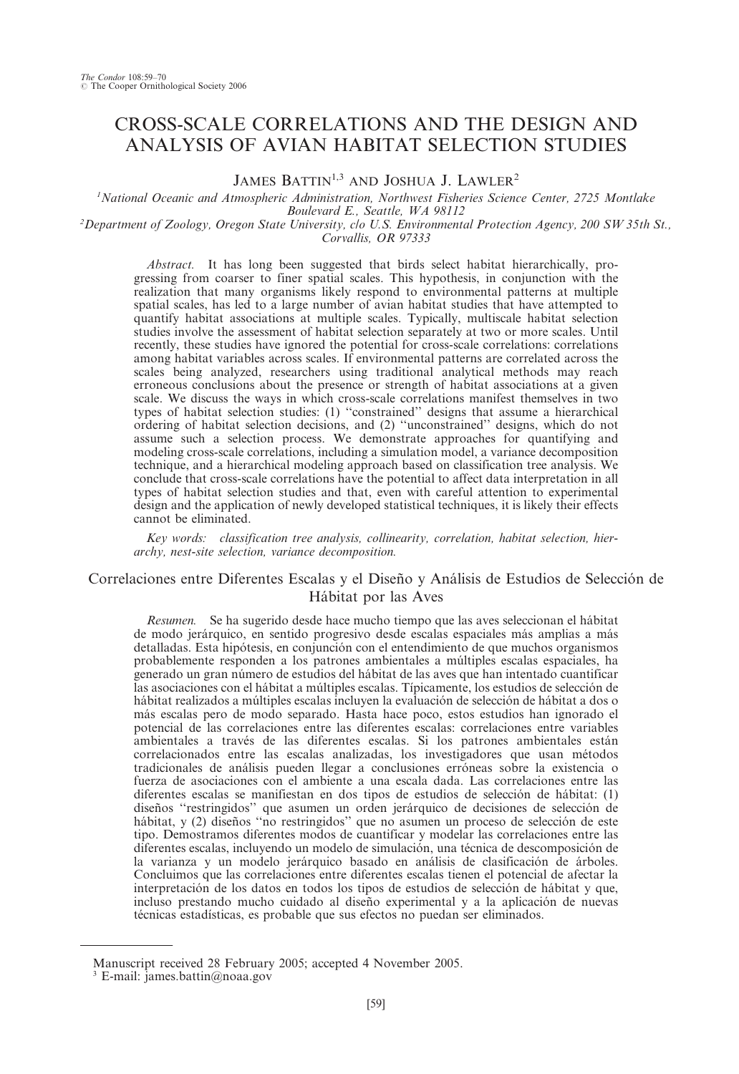# CROSS-SCALE CORRELATIONS AND THE DESIGN AND ANALYSIS OF AVIAN HABITAT SELECTION STUDIES

JAMES BATTIN<sup>1,3</sup> AND JOSHUA J. LAWLER<sup>2</sup>

1 National Oceanic and Atmospheric Administration, Northwest Fisheries Science Center, 2725 Montlake

Boulevard E., Seattle, WA 98112<br>2 Department of Zoology, Oregon State University, clo U.S. Environmental Protection Agency, 200 SW 35th St., Corvallis, OR 97333

Abstract. It has long been suggested that birds select habitat hierarchically, progressing from coarser to finer spatial scales. This hypothesis, in conjunction with the realization that many organisms likely respond to environmental patterns at multiple spatial scales, has led to a large number of avian habitat studies that have attempted to quantify habitat associations at multiple scales. Typically, multiscale habitat selection studies involve the assessment of habitat selection separately at two or more scales. Until recently, these studies have ignored the potential for cross-scale correlations: correlations among habitat variables across scales. If environmental patterns are correlated across the scales being analyzed, researchers using traditional analytical methods may reach erroneous conclusions about the presence or strength of habitat associations at a given scale. We discuss the ways in which cross-scale correlations manifest themselves in two types of habitat selection studies: (1) ''constrained'' designs that assume a hierarchical ordering of habitat selection decisions, and (2) ''unconstrained'' designs, which do not assume such a selection process. We demonstrate approaches for quantifying and modeling cross-scale correlations, including a simulation model, a variance decomposition technique, and a hierarchical modeling approach based on classification tree analysis. We conclude that cross-scale correlations have the potential to affect data interpretation in all types of habitat selection studies and that, even with careful attention to experimental design and the application of newly developed statistical techniques, it is likely their effects cannot be eliminated.

Key words: classification tree analysis, collinearity, correlation, habitat selection, hierarchy, nest-site selection, variance decomposition.

# Correlaciones entre Diferentes Escalas y el Diseño y Análisis de Estudios de Selección de Hábitat por las Aves

Resumen. Se ha sugerido desde hace mucho tiempo que las aves seleccionan el hábitat de modo jerárquico, en sentido progresivo desde escalas espaciales más amplias a más detalladas. Esta hipótesis, en conjunción con el entendimiento de que muchos organismos probablemente responden a los patrones ambientales a múltiples escalas espaciales, ha generado un gran número de estudios del hábitat de las aves que han intentado cuantificar las asociaciones con el hábitat a múltiples escalas. Típicamente, los estudios de selección de hábitat realizados a múltiples escalas incluyen la evaluación de selección de hábitat a dos o más escalas pero de modo separado. Hasta hace poco, estos estudios han ignorado el potencial de las correlaciones entre las diferentes escalas: correlaciones entre variables ambientales a través de las diferentes escalas. Si los patrones ambientales están correlacionados entre las escalas analizadas, los investigadores que usan métodos tradicionales de análisis pueden llegar a conclusiones erróneas sobre la existencia o fuerza de asociaciones con el ambiente a una escala dada. Las correlaciones entre las diferentes escalas se manifiestan en dos tipos de estudios de selección de hábitat: (1) diseños "restringidos" que asumen un orden jerárquico de decisiones de selección de hábitat, y (2) diseños "no restringidos" que no asumen un proceso de selección de este tipo. Demostramos diferentes modos de cuantificar y modelar las correlaciones entre las diferentes escalas, incluyendo un modelo de simulación, una técnica de descomposición de la varianza y un modelo jerárquico basado en análisis de clasificación de árboles. Concluimos que las correlaciones entre diferentes escalas tienen el potencial de afectar la interpretación de los datos en todos los tipos de estudios de selección de hábitat y que, incluso prestando mucho cuidado al diseño experimental y a la aplicación de nuevas técnicas estadísticas, es probable que sus efectos no puedan ser eliminados.

Manuscript received 28 February 2005; accepted 4 November 2005.

<sup>3</sup> E-mail: james.battin@noaa.gov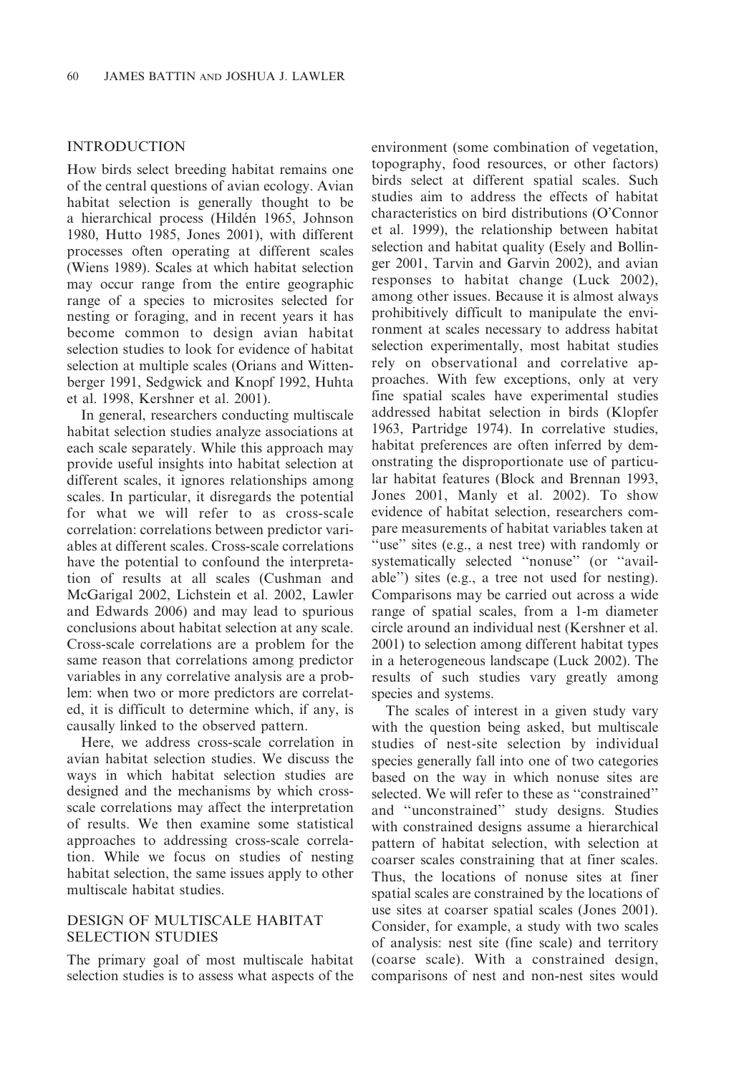#### INTRODUCTION

How birds select breeding habitat remains one of the central questions of avian ecology. Avian habitat selection is generally thought to be a hierarchical process (Hildén 1965, Johnson 1980, Hutto 1985, Jones 2001), with different processes often operating at different scales (Wiens 1989). Scales at which habitat selection may occur range from the entire geographic range of a species to microsites selected for nesting or foraging, and in recent years it has become common to design avian habitat selection studies to look for evidence of habitat selection at multiple scales (Orians and Wittenberger 1991, Sedgwick and Knopf 1992, Huhta et al. 1998, Kershner et al. 2001).

In general, researchers conducting multiscale habitat selection studies analyze associations at each scale separately. While this approach may provide useful insights into habitat selection at different scales, it ignores relationships among scales. In particular, it disregards the potential for what we will refer to as cross-scale correlation: correlations between predictor variables at different scales. Cross-scale correlations have the potential to confound the interpretation of results at all scales (Cushman and McGarigal 2002, Lichstein et al. 2002, Lawler and Edwards 2006) and may lead to spurious conclusions about habitat selection at any scale. Cross-scale correlations are a problem for the same reason that correlations among predictor variables in any correlative analysis are a problem: when two or more predictors are correlated, it is difficult to determine which, if any, is causally linked to the observed pattern.

Here, we address cross-scale correlation in avian habitat selection studies. We discuss the ways in which habitat selection studies are designed and the mechanisms by which crossscale correlations may affect the interpretation of results. We then examine some statistical approaches to addressing cross-scale correlation. While we focus on studies of nesting habitat selection, the same issues apply to other multiscale habitat studies.

#### DESIGN OF MULTISCALE HABITAT SELECTION STUDIES

The primary goal of most multiscale habitat selection studies is to assess what aspects of the environment (some combination of vegetation, topography, food resources, or other factors) birds select at different spatial scales. Such studies aim to address the effects of habitat characteristics on bird distributions (O'Connor et al. 1999), the relationship between habitat selection and habitat quality (Esely and Bollinger 2001, Tarvin and Garvin 2002), and avian responses to habitat change (Luck 2002), among other issues. Because it is almost always prohibitively difficult to manipulate the environment at scales necessary to address habitat selection experimentally, most habitat studies rely on observational and correlative approaches. With few exceptions, only at very fine spatial scales have experimental studies addressed habitat selection in birds (Klopfer 1963, Partridge 1974). In correlative studies, habitat preferences are often inferred by demonstrating the disproportionate use of particular habitat features (Block and Brennan 1993, Jones 2001, Manly et al. 2002). To show evidence of habitat selection, researchers compare measurements of habitat variables taken at "use" sites (e.g., a nest tree) with randomly or systematically selected ''nonuse'' (or ''available'') sites (e.g., a tree not used for nesting). Comparisons may be carried out across a wide range of spatial scales, from a 1-m diameter circle around an individual nest (Kershner et al. 2001) to selection among different habitat types in a heterogeneous landscape (Luck 2002). The results of such studies vary greatly among species and systems.

The scales of interest in a given study vary with the question being asked, but multiscale studies of nest-site selection by individual species generally fall into one of two categories based on the way in which nonuse sites are selected. We will refer to these as ''constrained'' and ''unconstrained'' study designs. Studies with constrained designs assume a hierarchical pattern of habitat selection, with selection at coarser scales constraining that at finer scales. Thus, the locations of nonuse sites at finer spatial scales are constrained by the locations of use sites at coarser spatial scales (Jones 2001). Consider, for example, a study with two scales of analysis: nest site (fine scale) and territory (coarse scale). With a constrained design, comparisons of nest and non-nest sites would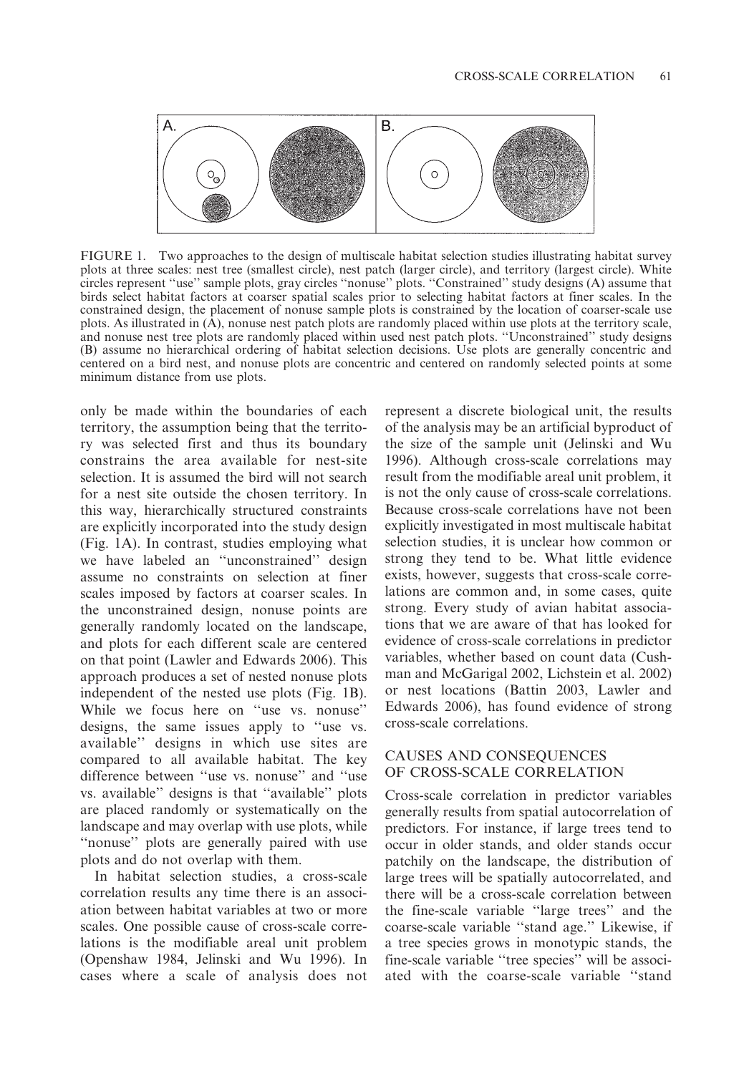

FIGURE 1. Two approaches to the design of multiscale habitat selection studies illustrating habitat survey plots at three scales: nest tree (smallest circle), nest patch (larger circle), and territory (largest circle). White circles represent ''use'' sample plots, gray circles ''nonuse'' plots. ''Constrained'' study designs (A) assume that birds select habitat factors at coarser spatial scales prior to selecting habitat factors at finer scales. In the constrained design, the placement of nonuse sample plots is constrained by the location of coarser-scale use plots. As illustrated in  $(A)$ , nonuse nest patch plots are randomly placed within use plots at the territory scale, and nonuse nest tree plots are randomly placed within used nest patch plots. ''Unconstrained'' study designs (B) assume no hierarchical ordering of habitat selection decisions. Use plots are generally concentric and centered on a bird nest, and nonuse plots are concentric and centered on randomly selected points at some minimum distance from use plots.

only be made within the boundaries of each territory, the assumption being that the territory was selected first and thus its boundary constrains the area available for nest-site selection. It is assumed the bird will not search for a nest site outside the chosen territory. In this way, hierarchically structured constraints are explicitly incorporated into the study design (Fig. 1A). In contrast, studies employing what we have labeled an ''unconstrained'' design assume no constraints on selection at finer scales imposed by factors at coarser scales. In the unconstrained design, nonuse points are generally randomly located on the landscape, and plots for each different scale are centered on that point (Lawler and Edwards 2006). This approach produces a set of nested nonuse plots independent of the nested use plots (Fig. 1B). While we focus here on ''use vs. nonuse'' designs, the same issues apply to ''use vs. available'' designs in which use sites are compared to all available habitat. The key difference between ''use vs. nonuse'' and ''use vs. available'' designs is that ''available'' plots are placed randomly or systematically on the landscape and may overlap with use plots, while ''nonuse'' plots are generally paired with use plots and do not overlap with them.

In habitat selection studies, a cross-scale correlation results any time there is an association between habitat variables at two or more scales. One possible cause of cross-scale correlations is the modifiable areal unit problem (Openshaw 1984, Jelinski and Wu 1996). In cases where a scale of analysis does not

represent a discrete biological unit, the results of the analysis may be an artificial byproduct of the size of the sample unit (Jelinski and Wu 1996). Although cross-scale correlations may result from the modifiable areal unit problem, it is not the only cause of cross-scale correlations. Because cross-scale correlations have not been explicitly investigated in most multiscale habitat selection studies, it is unclear how common or strong they tend to be. What little evidence exists, however, suggests that cross-scale correlations are common and, in some cases, quite strong. Every study of avian habitat associations that we are aware of that has looked for evidence of cross-scale correlations in predictor variables, whether based on count data (Cushman and McGarigal 2002, Lichstein et al. 2002) or nest locations (Battin 2003, Lawler and Edwards 2006), has found evidence of strong cross-scale correlations.

#### CAUSES AND CONSEQUENCES OF CROSS-SCALE CORRELATION

Cross-scale correlation in predictor variables generally results from spatial autocorrelation of predictors. For instance, if large trees tend to occur in older stands, and older stands occur patchily on the landscape, the distribution of large trees will be spatially autocorrelated, and there will be a cross-scale correlation between the fine-scale variable ''large trees'' and the coarse-scale variable ''stand age.'' Likewise, if a tree species grows in monotypic stands, the fine-scale variable ''tree species'' will be associated with the coarse-scale variable ''stand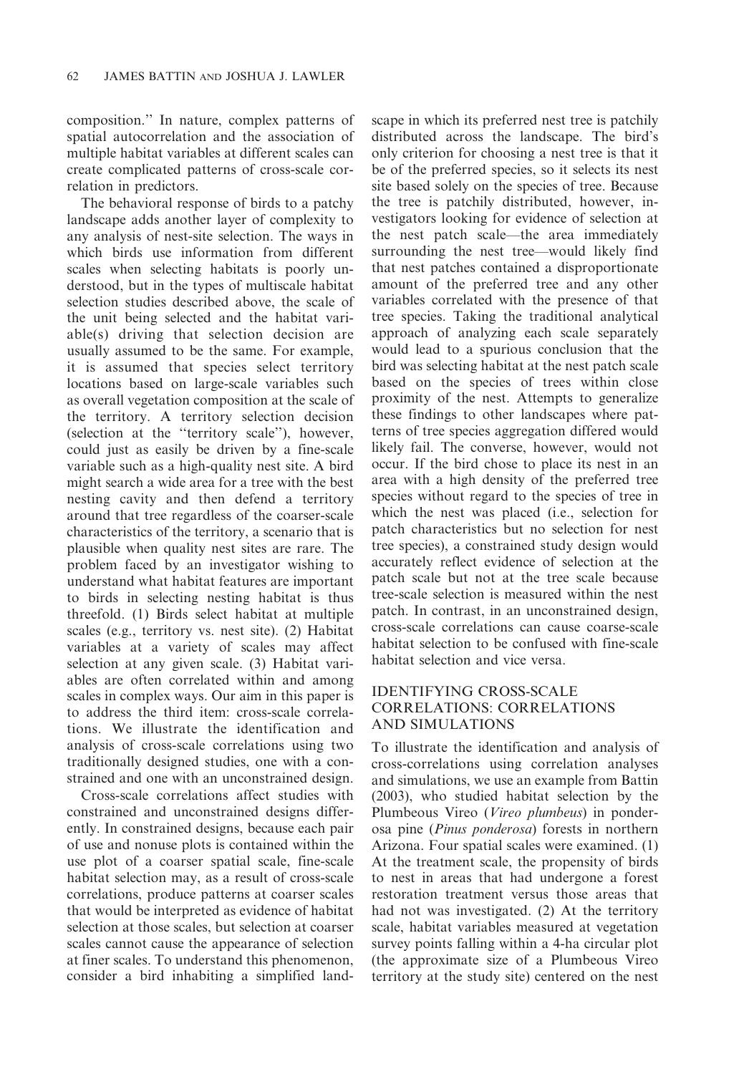composition.'' In nature, complex patterns of spatial autocorrelation and the association of multiple habitat variables at different scales can create complicated patterns of cross-scale correlation in predictors.

The behavioral response of birds to a patchy landscape adds another layer of complexity to any analysis of nest-site selection. The ways in which birds use information from different scales when selecting habitats is poorly understood, but in the types of multiscale habitat selection studies described above, the scale of the unit being selected and the habitat variable(s) driving that selection decision are usually assumed to be the same. For example, it is assumed that species select territory locations based on large-scale variables such as overall vegetation composition at the scale of the territory. A territory selection decision (selection at the ''territory scale''), however, could just as easily be driven by a fine-scale variable such as a high-quality nest site. A bird might search a wide area for a tree with the best nesting cavity and then defend a territory around that tree regardless of the coarser-scale characteristics of the territory, a scenario that is plausible when quality nest sites are rare. The problem faced by an investigator wishing to understand what habitat features are important to birds in selecting nesting habitat is thus threefold. (1) Birds select habitat at multiple scales (e.g., territory vs. nest site). (2) Habitat variables at a variety of scales may affect selection at any given scale. (3) Habitat variables are often correlated within and among scales in complex ways. Our aim in this paper is to address the third item: cross-scale correlations. We illustrate the identification and analysis of cross-scale correlations using two traditionally designed studies, one with a constrained and one with an unconstrained design.

Cross-scale correlations affect studies with constrained and unconstrained designs differently. In constrained designs, because each pair of use and nonuse plots is contained within the use plot of a coarser spatial scale, fine-scale habitat selection may, as a result of cross-scale correlations, produce patterns at coarser scales that would be interpreted as evidence of habitat selection at those scales, but selection at coarser scales cannot cause the appearance of selection at finer scales. To understand this phenomenon, consider a bird inhabiting a simplified landscape in which its preferred nest tree is patchily distributed across the landscape. The bird's only criterion for choosing a nest tree is that it be of the preferred species, so it selects its nest site based solely on the species of tree. Because the tree is patchily distributed, however, investigators looking for evidence of selection at the nest patch scale—the area immediately surrounding the nest tree—would likely find that nest patches contained a disproportionate amount of the preferred tree and any other variables correlated with the presence of that tree species. Taking the traditional analytical approach of analyzing each scale separately would lead to a spurious conclusion that the bird was selecting habitat at the nest patch scale based on the species of trees within close proximity of the nest. Attempts to generalize these findings to other landscapes where patterns of tree species aggregation differed would likely fail. The converse, however, would not occur. If the bird chose to place its nest in an area with a high density of the preferred tree species without regard to the species of tree in which the nest was placed (i.e., selection for patch characteristics but no selection for nest tree species), a constrained study design would accurately reflect evidence of selection at the patch scale but not at the tree scale because tree-scale selection is measured within the nest patch. In contrast, in an unconstrained design, cross-scale correlations can cause coarse-scale habitat selection to be confused with fine-scale habitat selection and vice versa.

# IDENTIFYING CROSS-SCALE CORRELATIONS: CORRELATIONS AND SIMULATIONS

To illustrate the identification and analysis of cross-correlations using correlation analyses and simulations, we use an example from Battin (2003), who studied habitat selection by the Plumbeous Vireo (Vireo plumbeus) in ponderosa pine (Pinus ponderosa) forests in northern Arizona. Four spatial scales were examined. (1) At the treatment scale, the propensity of birds to nest in areas that had undergone a forest restoration treatment versus those areas that had not was investigated. (2) At the territory scale, habitat variables measured at vegetation survey points falling within a 4-ha circular plot (the approximate size of a Plumbeous Vireo territory at the study site) centered on the nest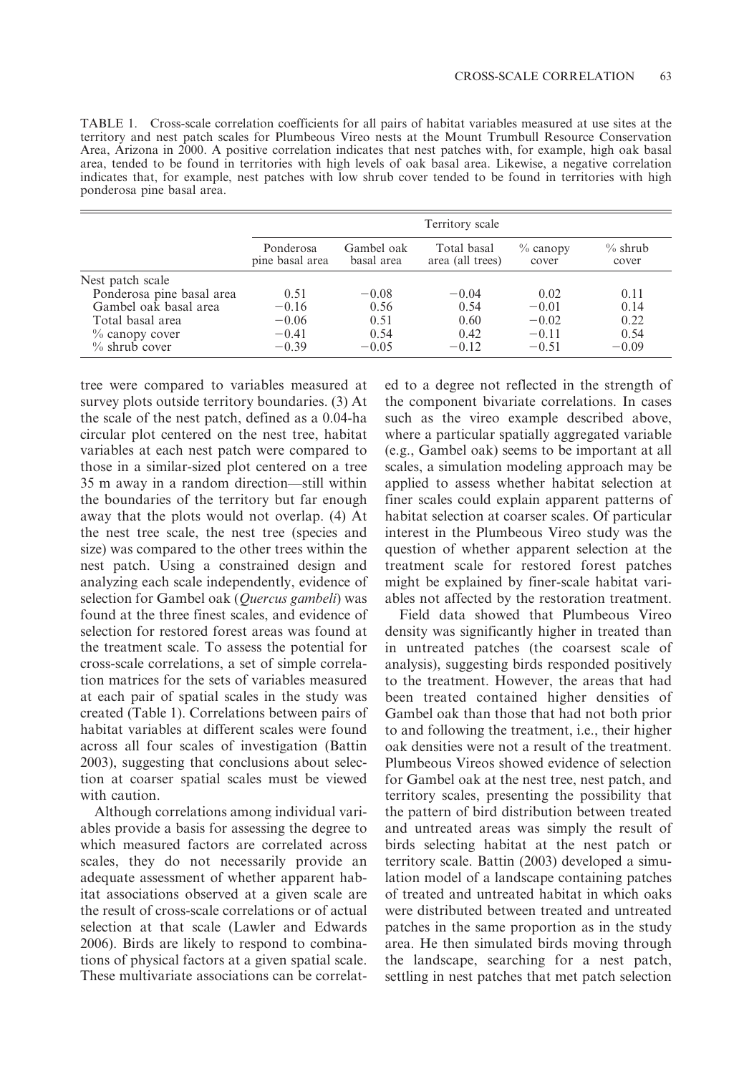TABLE 1. Cross-scale correlation coefficients for all pairs of habitat variables measured at use sites at the territory and nest patch scales for Plumbeous Vireo nests at the Mount Trumbull Resource Conservation Area, Arizona in 2000. A positive correlation indicates that nest patches with, for example, high oak basal area, tended to be found in territories with high levels of oak basal area. Likewise, a negative correlation indicates that, for example, nest patches with low shrub cover tended to be found in territories with high ponderosa pine basal area.

|                           | Territory scale              |                          |                                 |                      |                    |  |  |  |  |
|---------------------------|------------------------------|--------------------------|---------------------------------|----------------------|--------------------|--|--|--|--|
|                           | Ponderosa<br>pine basal area | Gambel oak<br>basal area | Total basal<br>area (all trees) | $\%$ canopy<br>cover | $%$ shrub<br>cover |  |  |  |  |
| Nest patch scale          |                              |                          |                                 |                      |                    |  |  |  |  |
| Ponderosa pine basal area | 0.51                         | $-0.08$                  | $-0.04$                         | 0.02                 | 0.11               |  |  |  |  |
| Gambel oak basal area     | $-0.16$                      | 0.56                     | 0.54                            | $-0.01$              | 0.14               |  |  |  |  |
| Total basal area          | $-0.06$                      | 0.51                     | 0.60                            | $-0.02$              | 0.22               |  |  |  |  |
| $\%$ canopy cover         | $-0.41$                      | 0.54                     | 0.42                            | $-0.11$              | 0.54               |  |  |  |  |
| $\%$ shrub cover          | $-0.39$                      | $-0.05$                  | $-0.12$                         | $-0.51$              | $-0.09$            |  |  |  |  |

tree were compared to variables measured at survey plots outside territory boundaries. (3) At the scale of the nest patch, defined as a 0.04-ha circular plot centered on the nest tree, habitat variables at each nest patch were compared to those in a similar-sized plot centered on a tree 35 m away in a random direction—still within the boundaries of the territory but far enough away that the plots would not overlap. (4) At the nest tree scale, the nest tree (species and size) was compared to the other trees within the nest patch. Using a constrained design and analyzing each scale independently, evidence of selection for Gambel oak (*Quercus gambeli*) was found at the three finest scales, and evidence of selection for restored forest areas was found at the treatment scale. To assess the potential for cross-scale correlations, a set of simple correlation matrices for the sets of variables measured at each pair of spatial scales in the study was created (Table 1). Correlations between pairs of habitat variables at different scales were found across all four scales of investigation (Battin 2003), suggesting that conclusions about selection at coarser spatial scales must be viewed with caution.

Although correlations among individual variables provide a basis for assessing the degree to which measured factors are correlated across scales, they do not necessarily provide an adequate assessment of whether apparent habitat associations observed at a given scale are the result of cross-scale correlations or of actual selection at that scale (Lawler and Edwards 2006). Birds are likely to respond to combinations of physical factors at a given spatial scale. These multivariate associations can be correlated to a degree not reflected in the strength of the component bivariate correlations. In cases such as the vireo example described above, where a particular spatially aggregated variable (e.g., Gambel oak) seems to be important at all scales, a simulation modeling approach may be applied to assess whether habitat selection at finer scales could explain apparent patterns of habitat selection at coarser scales. Of particular interest in the Plumbeous Vireo study was the question of whether apparent selection at the treatment scale for restored forest patches might be explained by finer-scale habitat variables not affected by the restoration treatment.

Field data showed that Plumbeous Vireo density was significantly higher in treated than in untreated patches (the coarsest scale of analysis), suggesting birds responded positively to the treatment. However, the areas that had been treated contained higher densities of Gambel oak than those that had not both prior to and following the treatment, i.e., their higher oak densities were not a result of the treatment. Plumbeous Vireos showed evidence of selection for Gambel oak at the nest tree, nest patch, and territory scales, presenting the possibility that the pattern of bird distribution between treated and untreated areas was simply the result of birds selecting habitat at the nest patch or territory scale. Battin (2003) developed a simulation model of a landscape containing patches of treated and untreated habitat in which oaks were distributed between treated and untreated patches in the same proportion as in the study area. He then simulated birds moving through the landscape, searching for a nest patch, settling in nest patches that met patch selection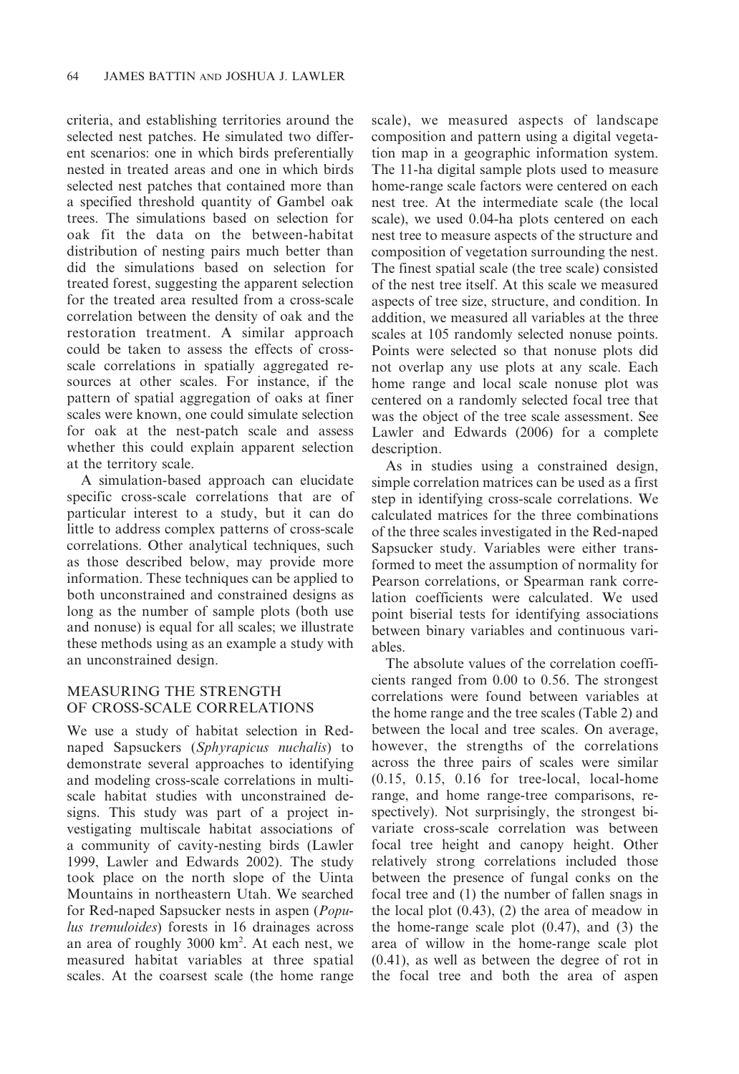criteria, and establishing territories around the selected nest patches. He simulated two different scenarios: one in which birds preferentially nested in treated areas and one in which birds selected nest patches that contained more than a specified threshold quantity of Gambel oak trees. The simulations based on selection for oak fit the data on the between-habitat distribution of nesting pairs much better than did the simulations based on selection for treated forest, suggesting the apparent selection for the treated area resulted from a cross-scale correlation between the density of oak and the restoration treatment. A similar approach could be taken to assess the effects of crossscale correlations in spatially aggregated resources at other scales. For instance, if the pattern of spatial aggregation of oaks at finer scales were known, one could simulate selection for oak at the nest-patch scale and assess whether this could explain apparent selection at the territory scale.

A simulation-based approach can elucidate specific cross-scale correlations that are of particular interest to a study, but it can do little to address complex patterns of cross-scale correlations. Other analytical techniques, such as those described below, may provide more information. These techniques can be applied to both unconstrained and constrained designs as long as the number of sample plots (both use and nonuse) is equal for all scales; we illustrate these methods using as an example a study with an unconstrained design.

# MEASURING THE STRENGTH OF CROSS-SCALE CORRELATIONS

We use a study of habitat selection in Rednaped Sapsuckers (Sphyrapicus nuchalis) to demonstrate several approaches to identifying and modeling cross-scale correlations in multiscale habitat studies with unconstrained designs. This study was part of a project investigating multiscale habitat associations of a community of cavity-nesting birds (Lawler 1999, Lawler and Edwards 2002). The study took place on the north slope of the Uinta Mountains in northeastern Utah. We searched for Red-naped Sapsucker nests in aspen (Populus tremuloides) forests in 16 drainages across an area of roughly 3000 km2 . At each nest, we measured habitat variables at three spatial scales. At the coarsest scale (the home range scale), we measured aspects of landscape composition and pattern using a digital vegetation map in a geographic information system. The 11-ha digital sample plots used to measure home-range scale factors were centered on each nest tree. At the intermediate scale (the local scale), we used 0.04-ha plots centered on each nest tree to measure aspects of the structure and composition of vegetation surrounding the nest. The finest spatial scale (the tree scale) consisted of the nest tree itself. At this scale we measured aspects of tree size, structure, and condition. In addition, we measured all variables at the three scales at 105 randomly selected nonuse points. Points were selected so that nonuse plots did not overlap any use plots at any scale. Each home range and local scale nonuse plot was centered on a randomly selected focal tree that was the object of the tree scale assessment. See Lawler and Edwards (2006) for a complete description.

As in studies using a constrained design, simple correlation matrices can be used as a first step in identifying cross-scale correlations. We calculated matrices for the three combinations of the three scales investigated in the Red-naped Sapsucker study. Variables were either transformed to meet the assumption of normality for Pearson correlations, or Spearman rank correlation coefficients were calculated. We used point biserial tests for identifying associations between binary variables and continuous variables.

The absolute values of the correlation coefficients ranged from 0.00 to 0.56. The strongest correlations were found between variables at the home range and the tree scales (Table 2) and between the local and tree scales. On average, however, the strengths of the correlations across the three pairs of scales were similar (0.15, 0.15, 0.16 for tree-local, local-home range, and home range-tree comparisons, respectively). Not surprisingly, the strongest bivariate cross-scale correlation was between focal tree height and canopy height. Other relatively strong correlations included those between the presence of fungal conks on the focal tree and (1) the number of fallen snags in the local plot (0.43), (2) the area of meadow in the home-range scale plot  $(0.47)$ , and  $(3)$  the area of willow in the home-range scale plot (0.41), as well as between the degree of rot in the focal tree and both the area of aspen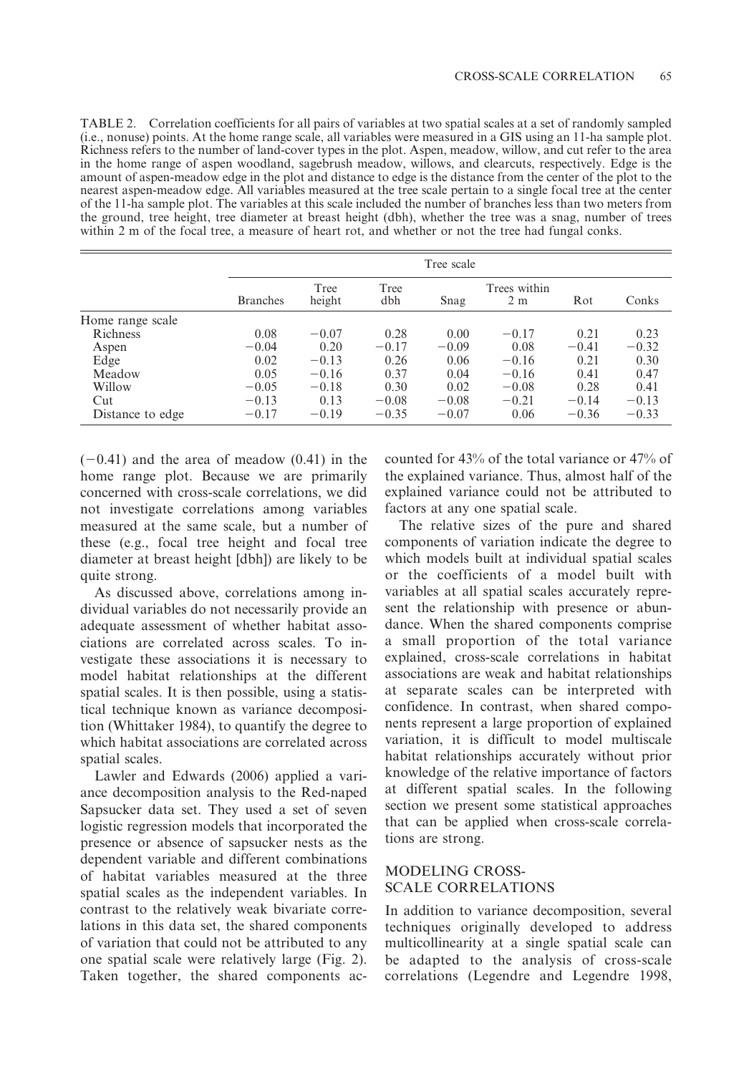TABLE 2. Correlation coefficients for all pairs of variables at two spatial scales at a set of randomly sampled (i.e., nonuse) points. At the home range scale, all variables were measured in a GIS using an 11-ha sample plot. Richness refers to the number of land-cover types in the plot. Aspen, meadow, willow, and cut refer to the area in the home range of aspen woodland, sagebrush meadow, willows, and clearcuts, respectively. Edge is the amount of aspen-meadow edge in the plot and distance to edge is the distance from the center of the plot to the nearest aspen-meadow edge. All variables measured at the tree scale pertain to a single focal tree at the center of the 11-ha sample plot. The variables at this scale included the number of branches less than two meters from the ground, tree height, tree diameter at breast height (dbh), whether the tree was a snag, number of trees within 2 m of the focal tree, a measure of heart rot, and whether or not the tree had fungal conks.

|                  |                 | Tree scale     |             |         |                                |         |         |  |  |  |
|------------------|-----------------|----------------|-------------|---------|--------------------------------|---------|---------|--|--|--|
|                  | <b>Branches</b> | Tree<br>height | Tree<br>dbh | Snag    | Trees within<br>2 <sub>m</sub> | Rot     | Conks   |  |  |  |
| Home range scale |                 |                |             |         |                                |         |         |  |  |  |
| Richness         | 0.08            | $-0.07$        | 0.28        | 0.00    | $-0.17$                        | 0.21    | 0.23    |  |  |  |
| Aspen            | $-0.04$         | 0.20           | $-0.17$     | $-0.09$ | 0.08                           | $-0.41$ | $-0.32$ |  |  |  |
| Edge             | 0.02            | $-0.13$        | 0.26        | 0.06    | $-0.16$                        | 0.21    | 0.30    |  |  |  |
| Meadow           | 0.05            | $-0.16$        | 0.37        | 0.04    | $-0.16$                        | 0.41    | 0.47    |  |  |  |
| Willow           | $-0.05$         | $-0.18$        | 0.30        | 0.02    | $-0.08$                        | 0.28    | 0.41    |  |  |  |
| Cut              | $-0.13$         | 0.13           | $-0.08$     | $-0.08$ | $-0.21$                        | $-0.14$ | $-0.13$ |  |  |  |
| Distance to edge | $-0.17$         | $-0.19$        | $-0.35$     | $-0.07$ | 0.06                           | $-0.36$ | $-0.33$ |  |  |  |

 $(-0.41)$  and the area of meadow  $(0.41)$  in the home range plot. Because we are primarily concerned with cross-scale correlations, we did not investigate correlations among variables measured at the same scale, but a number of these (e.g., focal tree height and focal tree diameter at breast height [dbh]) are likely to be quite strong.

As discussed above, correlations among individual variables do not necessarily provide an adequate assessment of whether habitat associations are correlated across scales. To investigate these associations it is necessary to model habitat relationships at the different spatial scales. It is then possible, using a statistical technique known as variance decomposition (Whittaker 1984), to quantify the degree to which habitat associations are correlated across spatial scales.

Lawler and Edwards (2006) applied a variance decomposition analysis to the Red-naped Sapsucker data set. They used a set of seven logistic regression models that incorporated the presence or absence of sapsucker nests as the dependent variable and different combinations of habitat variables measured at the three spatial scales as the independent variables. In contrast to the relatively weak bivariate correlations in this data set, the shared components of variation that could not be attributed to any one spatial scale were relatively large (Fig. 2). Taken together, the shared components accounted for 43% of the total variance or 47% of the explained variance. Thus, almost half of the explained variance could not be attributed to factors at any one spatial scale.

The relative sizes of the pure and shared components of variation indicate the degree to which models built at individual spatial scales or the coefficients of a model built with variables at all spatial scales accurately represent the relationship with presence or abundance. When the shared components comprise a small proportion of the total variance explained, cross-scale correlations in habitat associations are weak and habitat relationships at separate scales can be interpreted with confidence. In contrast, when shared components represent a large proportion of explained variation, it is difficult to model multiscale habitat relationships accurately without prior knowledge of the relative importance of factors at different spatial scales. In the following section we present some statistical approaches that can be applied when cross-scale correlations are strong.

# MODELING CROSS-SCALE CORRELATIONS

In addition to variance decomposition, several techniques originally developed to address multicollinearity at a single spatial scale can be adapted to the analysis of cross-scale correlations (Legendre and Legendre 1998,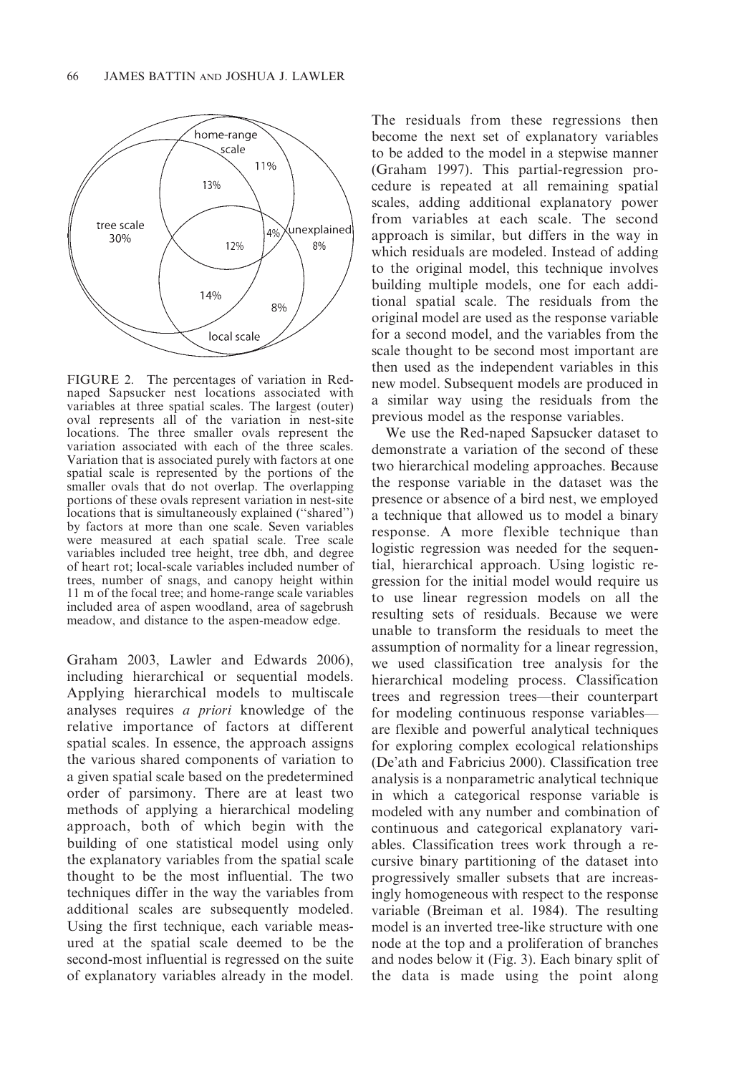

FIGURE 2. The percentages of variation in Rednaped Sapsucker nest locations associated with variables at three spatial scales. The largest (outer) oval represents all of the variation in nest-site locations. The three smaller ovals represent the variation associated with each of the three scales. Variation that is associated purely with factors at one spatial scale is represented by the portions of the smaller ovals that do not overlap. The overlapping portions of these ovals represent variation in nest-site locations that is simultaneously explained (''shared'') by factors at more than one scale. Seven variables were measured at each spatial scale. Tree scale variables included tree height, tree dbh, and degree of heart rot; local-scale variables included number of trees, number of snags, and canopy height within 11 m of the focal tree; and home-range scale variables included area of aspen woodland, area of sagebrush meadow, and distance to the aspen-meadow edge.

Graham 2003, Lawler and Edwards 2006), including hierarchical or sequential models. Applying hierarchical models to multiscale analyses requires a priori knowledge of the relative importance of factors at different spatial scales. In essence, the approach assigns the various shared components of variation to a given spatial scale based on the predetermined order of parsimony. There are at least two methods of applying a hierarchical modeling approach, both of which begin with the building of one statistical model using only the explanatory variables from the spatial scale thought to be the most influential. The two techniques differ in the way the variables from additional scales are subsequently modeled. Using the first technique, each variable measured at the spatial scale deemed to be the second-most influential is regressed on the suite of explanatory variables already in the model. The residuals from these regressions then become the next set of explanatory variables to be added to the model in a stepwise manner (Graham 1997). This partial-regression procedure is repeated at all remaining spatial scales, adding additional explanatory power from variables at each scale. The second approach is similar, but differs in the way in which residuals are modeled. Instead of adding to the original model, this technique involves building multiple models, one for each additional spatial scale. The residuals from the original model are used as the response variable for a second model, and the variables from the scale thought to be second most important are then used as the independent variables in this new model. Subsequent models are produced in a similar way using the residuals from the previous model as the response variables.

We use the Red-naped Sapsucker dataset to demonstrate a variation of the second of these two hierarchical modeling approaches. Because the response variable in the dataset was the presence or absence of a bird nest, we employed a technique that allowed us to model a binary response. A more flexible technique than logistic regression was needed for the sequential, hierarchical approach. Using logistic regression for the initial model would require us to use linear regression models on all the resulting sets of residuals. Because we were unable to transform the residuals to meet the assumption of normality for a linear regression, we used classification tree analysis for the hierarchical modeling process. Classification trees and regression trees—their counterpart for modeling continuous response variables are flexible and powerful analytical techniques for exploring complex ecological relationships (De'ath and Fabricius 2000). Classification tree analysis is a nonparametric analytical technique in which a categorical response variable is modeled with any number and combination of continuous and categorical explanatory variables. Classification trees work through a recursive binary partitioning of the dataset into progressively smaller subsets that are increasingly homogeneous with respect to the response variable (Breiman et al. 1984). The resulting model is an inverted tree-like structure with one node at the top and a proliferation of branches and nodes below it (Fig. 3). Each binary split of the data is made using the point along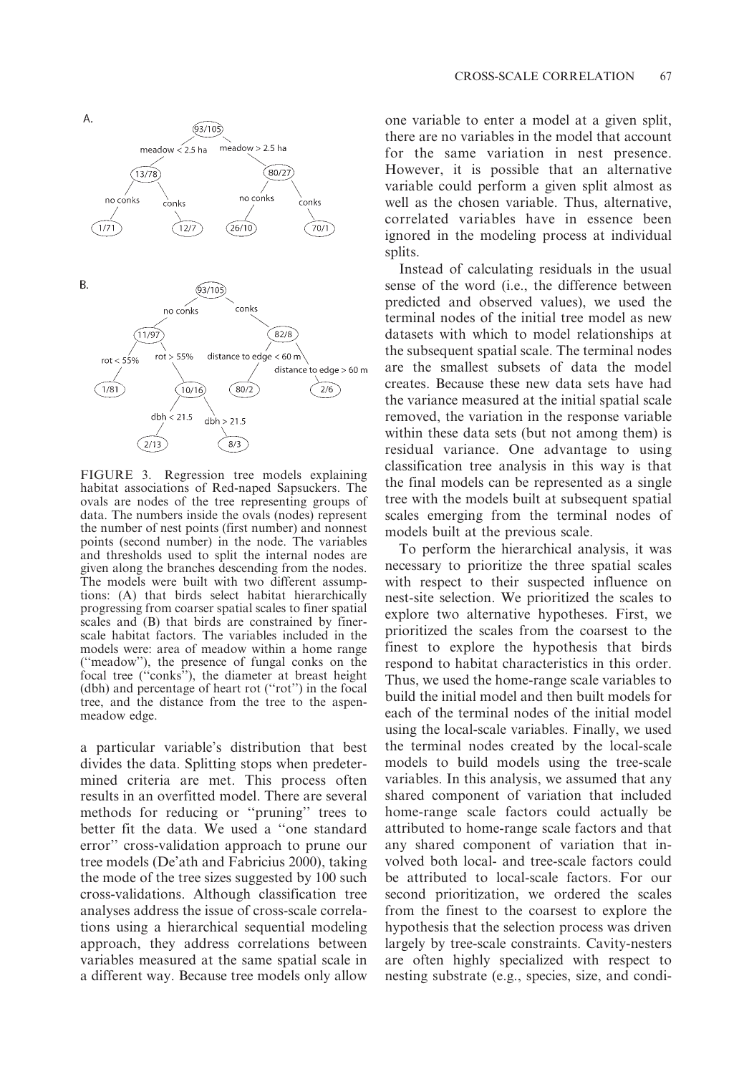

FIGURE 3. Regression tree models explaining habitat associations of Red-naped Sapsuckers. The ovals are nodes of the tree representing groups of data. The numbers inside the ovals (nodes) represent the number of nest points (first number) and nonnest points (second number) in the node. The variables and thresholds used to split the internal nodes are given along the branches descending from the nodes. The models were built with two different assumptions: (A) that birds select habitat hierarchically progressing from coarser spatial scales to finer spatial scales and (B) that birds are constrained by finerscale habitat factors. The variables included in the models were: area of meadow within a home range (''meadow''), the presence of fungal conks on the focal tree (''conks''), the diameter at breast height (dbh) and percentage of heart rot (''rot'') in the focal tree, and the distance from the tree to the aspenmeadow edge.

a particular variable's distribution that best divides the data. Splitting stops when predetermined criteria are met. This process often results in an overfitted model. There are several methods for reducing or ''pruning'' trees to better fit the data. We used a ''one standard error'' cross-validation approach to prune our tree models (De'ath and Fabricius 2000), taking the mode of the tree sizes suggested by 100 such cross-validations. Although classification tree analyses address the issue of cross-scale correlations using a hierarchical sequential modeling approach, they address correlations between variables measured at the same spatial scale in a different way. Because tree models only allow

one variable to enter a model at a given split, there are no variables in the model that account for the same variation in nest presence. However, it is possible that an alternative variable could perform a given split almost as well as the chosen variable. Thus, alternative, correlated variables have in essence been ignored in the modeling process at individual splits.

Instead of calculating residuals in the usual sense of the word (i.e., the difference between predicted and observed values), we used the terminal nodes of the initial tree model as new datasets with which to model relationships at the subsequent spatial scale. The terminal nodes are the smallest subsets of data the model creates. Because these new data sets have had the variance measured at the initial spatial scale removed, the variation in the response variable within these data sets (but not among them) is residual variance. One advantage to using classification tree analysis in this way is that the final models can be represented as a single tree with the models built at subsequent spatial scales emerging from the terminal nodes of models built at the previous scale.

To perform the hierarchical analysis, it was necessary to prioritize the three spatial scales with respect to their suspected influence on nest-site selection. We prioritized the scales to explore two alternative hypotheses. First, we prioritized the scales from the coarsest to the finest to explore the hypothesis that birds respond to habitat characteristics in this order. Thus, we used the home-range scale variables to build the initial model and then built models for each of the terminal nodes of the initial model using the local-scale variables. Finally, we used the terminal nodes created by the local-scale models to build models using the tree-scale variables. In this analysis, we assumed that any shared component of variation that included home-range scale factors could actually be attributed to home-range scale factors and that any shared component of variation that involved both local- and tree-scale factors could be attributed to local-scale factors. For our second prioritization, we ordered the scales from the finest to the coarsest to explore the hypothesis that the selection process was driven largely by tree-scale constraints. Cavity-nesters are often highly specialized with respect to nesting substrate (e.g., species, size, and condi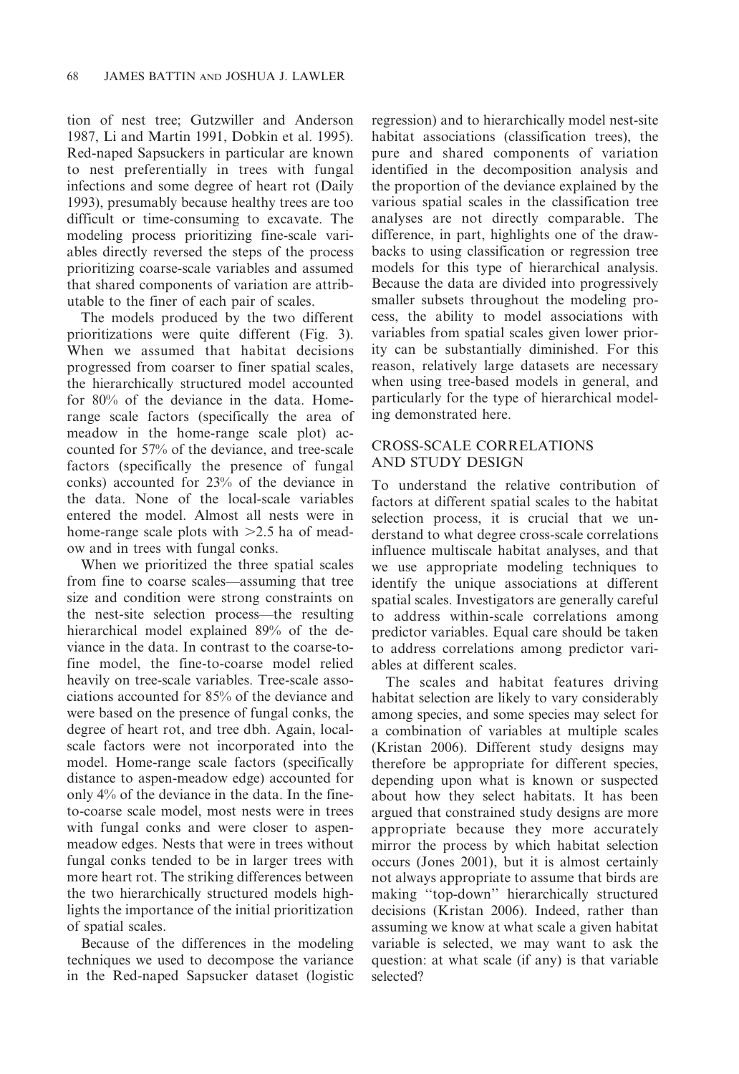tion of nest tree; Gutzwiller and Anderson 1987, Li and Martin 1991, Dobkin et al. 1995). Red-naped Sapsuckers in particular are known to nest preferentially in trees with fungal infections and some degree of heart rot (Daily 1993), presumably because healthy trees are too difficult or time-consuming to excavate. The modeling process prioritizing fine-scale variables directly reversed the steps of the process prioritizing coarse-scale variables and assumed that shared components of variation are attributable to the finer of each pair of scales.

The models produced by the two different prioritizations were quite different (Fig. 3). When we assumed that habitat decisions progressed from coarser to finer spatial scales, the hierarchically structured model accounted for 80% of the deviance in the data. Homerange scale factors (specifically the area of meadow in the home-range scale plot) accounted for 57% of the deviance, and tree-scale factors (specifically the presence of fungal conks) accounted for 23% of the deviance in the data. None of the local-scale variables entered the model. Almost all nests were in home-range scale plots with  $>2.5$  ha of meadow and in trees with fungal conks.

When we prioritized the three spatial scales from fine to coarse scales—assuming that tree size and condition were strong constraints on the nest-site selection process—the resulting hierarchical model explained 89% of the deviance in the data. In contrast to the coarse-tofine model, the fine-to-coarse model relied heavily on tree-scale variables. Tree-scale associations accounted for 85% of the deviance and were based on the presence of fungal conks, the degree of heart rot, and tree dbh. Again, localscale factors were not incorporated into the model. Home-range scale factors (specifically distance to aspen-meadow edge) accounted for only 4% of the deviance in the data. In the fineto-coarse scale model, most nests were in trees with fungal conks and were closer to aspenmeadow edges. Nests that were in trees without fungal conks tended to be in larger trees with more heart rot. The striking differences between the two hierarchically structured models highlights the importance of the initial prioritization of spatial scales.

Because of the differences in the modeling techniques we used to decompose the variance in the Red-naped Sapsucker dataset (logistic regression) and to hierarchically model nest-site habitat associations (classification trees), the pure and shared components of variation identified in the decomposition analysis and the proportion of the deviance explained by the various spatial scales in the classification tree analyses are not directly comparable. The difference, in part, highlights one of the drawbacks to using classification or regression tree models for this type of hierarchical analysis. Because the data are divided into progressively smaller subsets throughout the modeling process, the ability to model associations with variables from spatial scales given lower priority can be substantially diminished. For this reason, relatively large datasets are necessary when using tree-based models in general, and particularly for the type of hierarchical modeling demonstrated here.

## CROSS-SCALE CORRELATIONS AND STUDY DESIGN

To understand the relative contribution of factors at different spatial scales to the habitat selection process, it is crucial that we understand to what degree cross-scale correlations influence multiscale habitat analyses, and that we use appropriate modeling techniques to identify the unique associations at different spatial scales. Investigators are generally careful to address within-scale correlations among predictor variables. Equal care should be taken to address correlations among predictor variables at different scales.

The scales and habitat features driving habitat selection are likely to vary considerably among species, and some species may select for a combination of variables at multiple scales (Kristan 2006). Different study designs may therefore be appropriate for different species, depending upon what is known or suspected about how they select habitats. It has been argued that constrained study designs are more appropriate because they more accurately mirror the process by which habitat selection occurs (Jones 2001), but it is almost certainly not always appropriate to assume that birds are making ''top-down'' hierarchically structured decisions (Kristan 2006). Indeed, rather than assuming we know at what scale a given habitat variable is selected, we may want to ask the question: at what scale (if any) is that variable selected?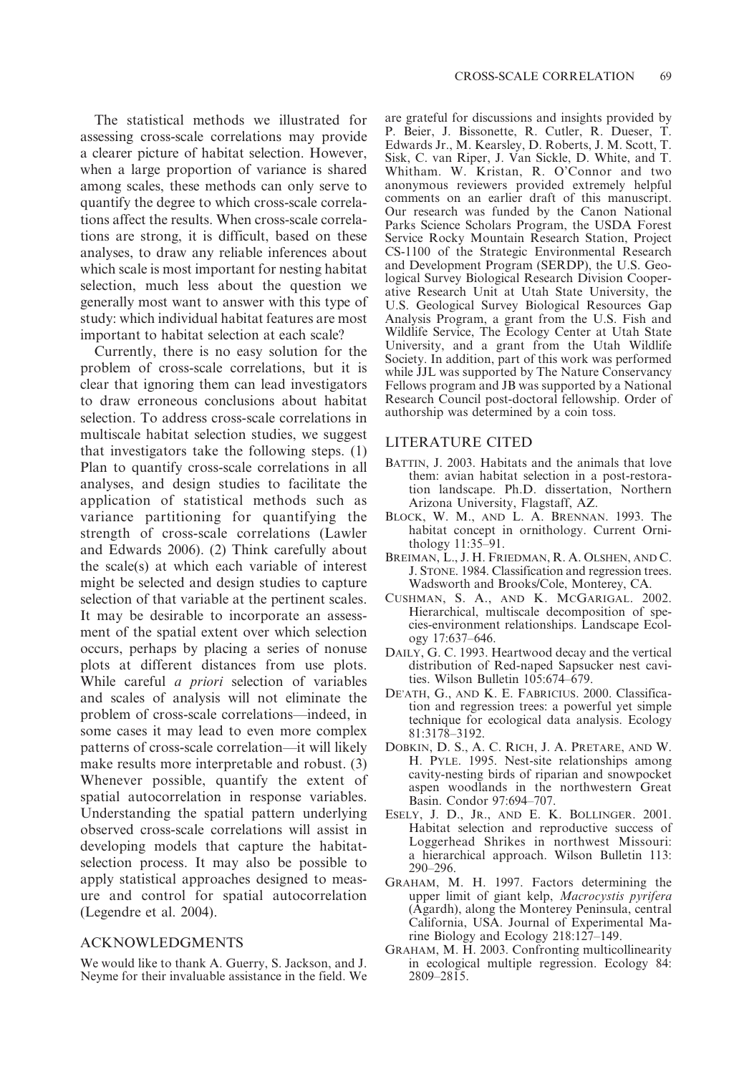The statistical methods we illustrated for assessing cross-scale correlations may provide a clearer picture of habitat selection. However, when a large proportion of variance is shared among scales, these methods can only serve to quantify the degree to which cross-scale correlations affect the results. When cross-scale correlations are strong, it is difficult, based on these analyses, to draw any reliable inferences about which scale is most important for nesting habitat selection, much less about the question we generally most want to answer with this type of study: which individual habitat features are most important to habitat selection at each scale?

Currently, there is no easy solution for the problem of cross-scale correlations, but it is clear that ignoring them can lead investigators to draw erroneous conclusions about habitat selection. To address cross-scale correlations in multiscale habitat selection studies, we suggest that investigators take the following steps. (1) Plan to quantify cross-scale correlations in all analyses, and design studies to facilitate the application of statistical methods such as variance partitioning for quantifying the strength of cross-scale correlations (Lawler and Edwards 2006). (2) Think carefully about the scale(s) at which each variable of interest might be selected and design studies to capture selection of that variable at the pertinent scales. It may be desirable to incorporate an assessment of the spatial extent over which selection occurs, perhaps by placing a series of nonuse plots at different distances from use plots. While careful *a priori* selection of variables and scales of analysis will not eliminate the problem of cross-scale correlations—indeed, in some cases it may lead to even more complex patterns of cross-scale correlation—it will likely make results more interpretable and robust. (3) Whenever possible, quantify the extent of spatial autocorrelation in response variables. Understanding the spatial pattern underlying observed cross-scale correlations will assist in developing models that capture the habitatselection process. It may also be possible to apply statistical approaches designed to measure and control for spatial autocorrelation (Legendre et al. 2004).

#### ACKNOWLEDGMENTS

We would like to thank A. Guerry, S. Jackson, and J. Neyme for their invaluable assistance in the field. We are grateful for discussions and insights provided by P. Beier, J. Bissonette, R. Cutler, R. Dueser, T. Edwards Jr., M. Kearsley, D. Roberts, J. M. Scott, T. Sisk, C. van Riper, J. Van Sickle, D. White, and T. Whitham. W. Kristan, R. O'Connor and two anonymous reviewers provided extremely helpful comments on an earlier draft of this manuscript. Our research was funded by the Canon National Parks Science Scholars Program, the USDA Forest Service Rocky Mountain Research Station, Project CS-1100 of the Strategic Environmental Research and Development Program (SERDP), the U.S. Geological Survey Biological Research Division Cooperative Research Unit at Utah State University, the U.S. Geological Survey Biological Resources Gap Analysis Program, a grant from the U.S. Fish and Wildlife Service, The Ecology Center at Utah State University, and a grant from the Utah Wildlife Society. In addition, part of this work was performed while JJL was supported by The Nature Conservancy Fellows program and JB was supported by a National Research Council post-doctoral fellowship. Order of authorship was determined by a coin toss.

#### LITERATURE CITED

- BATTIN, J. 2003. Habitats and the animals that love them: avian habitat selection in a post-restoration landscape. Ph.D. dissertation, Northern Arizona University, Flagstaff, AZ.
- BLOCK, W. M., AND L. A. BRENNAN. 1993. The habitat concept in ornithology. Current Ornithology 11:35–91.
- BREIMAN, L., J. H. FRIEDMAN, R. A. OLSHEN, AND C. J. STONE. 1984. Classification and regression trees. Wadsworth and Brooks/Cole, Monterey, CA.
- CUSHMAN, S. A., AND K. MCGARIGAL. 2002. Hierarchical, multiscale decomposition of species-environment relationships. Landscape Ecology 17:637–646.
- DAILY, G. C. 1993. Heartwood decay and the vertical distribution of Red-naped Sapsucker nest cavities. Wilson Bulletin 105:674–679.
- DE'ATH, G., AND K. E. FABRICIUS. 2000. Classification and regression trees: a powerful yet simple technique for ecological data analysis. Ecology 81:3178–3192.
- DOBKIN, D. S., A. C. RICH, J. A. PRETARE, AND W. H. PYLE. 1995. Nest-site relationships among cavity-nesting birds of riparian and snowpocket aspen woodlands in the northwestern Great Basin. Condor 97:694–707.
- ESELY, J. D., JR., AND E. K. BOLLINGER. 2001. Habitat selection and reproductive success of Loggerhead Shrikes in northwest Missouri: a hierarchical approach. Wilson Bulletin 113: 290–296.
- GRAHAM, M. H. 1997. Factors determining the upper limit of giant kelp, Macrocystis pyrifera (Agardh), along the Monterey Peninsula, central California, USA. Journal of Experimental Marine Biology and Ecology 218:127–149.
- GRAHAM, M. H. 2003. Confronting multicollinearity in ecological multiple regression. Ecology 84: 2809–2815.